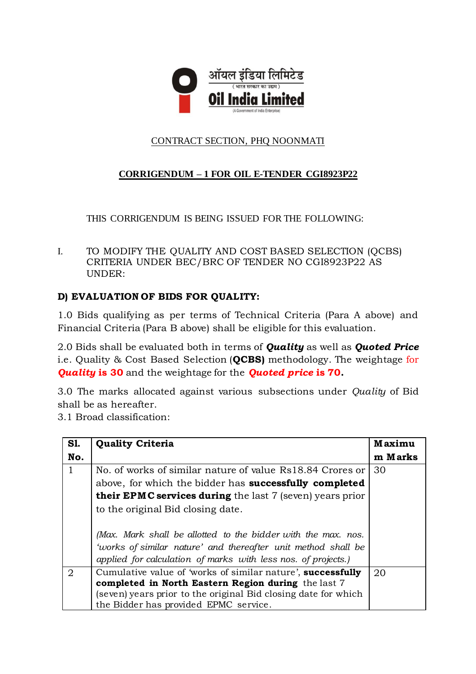

# CONTRACT SECTION, PHQ NOONMATI

# **CORRIGENDUM – 1 FOR OIL E-TENDER CGI8923P22**

THIS CORRIGENDUM IS BEING ISSUED FOR THE FOLLOWING:

I. TO MODIFY THE QUALITY AND COST BASED SELECTION (QCBS) CRITERIA UNDER BEC/BRC OF TENDER NO CGI8923P22 AS UNDER:

### **D) EVALUATION OF BIDS FOR QUALITY:**

1.0 Bids qualifying as per terms of Technical Criteria (Para A above) and Financial Criteria (Para B above) shall be eligible for this evaluation.

2.0 Bids shall be evaluated both in terms of *Quality* as well as *Quoted Price*  i.e. Quality & Cost Based Selection (**QCBS)** methodology. The weightage for *Quality* **is 30** and the weightage for the *Quoted price* **is 70.**

3.0 The marks allocated against various subsections under *Quality* of Bid shall be as hereafter.

3.1 Broad classification:

| <b>S1.</b>   | <b>Quality Criteria</b>                                          | <b>Maximu</b> |
|--------------|------------------------------------------------------------------|---------------|
| No.          |                                                                  | m Marks       |
| $\mathbf{1}$ | No. of works of similar nature of value Rs18.84 Crores or        | 30            |
|              | above, for which the bidder has successfully completed           |               |
|              | <b>their EPMC services during</b> the last 7 (seven) years prior |               |
|              | to the original Bid closing date.                                |               |
|              |                                                                  |               |
|              | (Max. Mark shall be allotted to the bidder with the max. nos.    |               |
|              | 'works of similar nature' and thereafter unit method shall be    |               |
|              | applied for calculation of marks with less nos. of projects.)    |               |
| 2            | Cumulative value of 'works of similar nature', successfully      | 20            |
|              | completed in North Eastern Region during the last 7              |               |
|              | (seven) years prior to the original Bid closing date for which   |               |
|              | the Bidder has provided EPMC service.                            |               |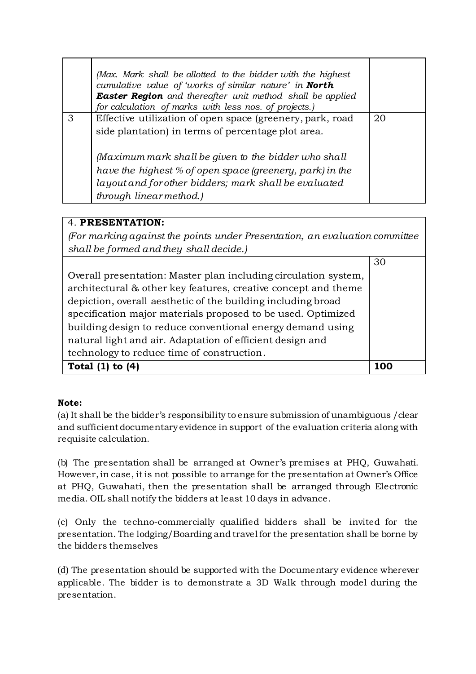|   | (Max. Mark shall be allotted to the bidder with the highest<br>cumulative value of 'works of similar nature' in North<br><b>Easter Region</b> and thereafter unit method shall be applied<br>for calculation of marks with less nos. of projects.) |    |
|---|----------------------------------------------------------------------------------------------------------------------------------------------------------------------------------------------------------------------------------------------------|----|
| 3 | Effective utilization of open space (greenery, park, road                                                                                                                                                                                          | 20 |
|   | side plantation) in terms of percentage plot area.                                                                                                                                                                                                 |    |
|   | (Maximum mark shall be given to the bidder who shall                                                                                                                                                                                               |    |
|   | have the highest % of open space (greenery, park) in the                                                                                                                                                                                           |    |
|   | layout and for other bidders; mark shall be evaluated                                                                                                                                                                                              |    |
|   | through linear method.)                                                                                                                                                                                                                            |    |

# 4. **PRESENTATION:**

*(For marking against the points under Presentation, an evaluation committee shall be formed and they shall decide.)*

|                                                                 | 30  |
|-----------------------------------------------------------------|-----|
| Overall presentation: Master plan including circulation system, |     |
| architectural & other key features, creative concept and theme  |     |
| depiction, overall aesthetic of the building including broad    |     |
| specification major materials proposed to be used. Optimized    |     |
| building design to reduce conventional energy demand using      |     |
| natural light and air. Adaptation of efficient design and       |     |
| technology to reduce time of construction.                      |     |
| Total (1)<br>to $(4)$                                           | 100 |

### **Note:**

(a) It shall be the bidder's responsibility to ensure submission of unambiguous /clear and sufficient documentary evidence in support of the evaluation criteria along with requisite calculation.

(b) The presentation shall be arranged at Owner's premises at PHQ, Guwahati. However, in case, it is not possible to arrange for the presentation at Owner's Office at PHQ, Guwahati, then the presentation shall be arranged through Electronic media. OIL shall notify the bidders at least 10 days in advance.

(c) Only the techno-commercially qualified bidders shall be invited for the presentation. The lodging/Boarding and travel for the presentation shall be borne by the bidders themselves

(d) The presentation should be supported with the Documentary evidence wherever applicable. The bidder is to demonstrate a 3D Walk through model during the presentation.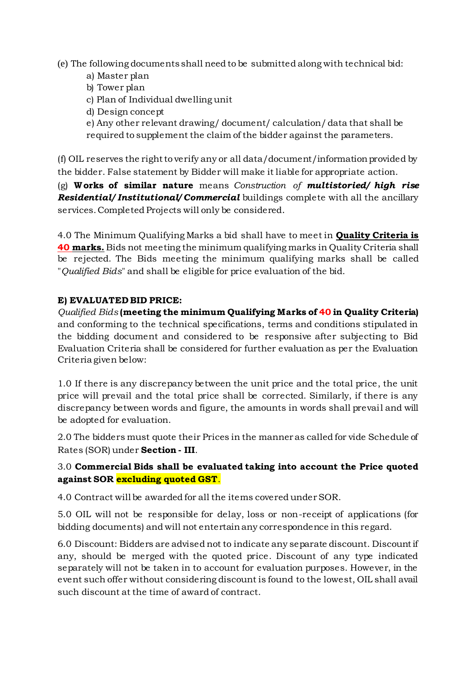(e) The following documents shall need to be submitted along with technical bid:

- a) Master plan
- b) Tower plan
- c) Plan of Individual dwelling unit
- d) Design concept

e) Any other relevant drawing/ document/ calculation/ data that shall be required to supplement the claim of the bidder against the parameters.

(f) OIL reserves the right to verify any or all data/document/information provided by the bidder. False statement by Bidder will make it liable for appropriate action.

(g) **W orks of similar nature** means *Construction of multistoried/ high rise Residential/ Institutional/ Commercial* buildings complete with all the ancillary services. Completed Projects will only be considered.

4.0 The Minimum Qualifying Marks a bid shall have to meet in **Quality Criteria is 40 marks.** Bids not meeting the minimum qualifying marks in Quality Criteria shall be rejected. The Bids meeting the minimum qualifying marks shall be called "*Qualified Bids*" and shall be eligible for price evaluation of the bid.

#### **E) EVALUATED BID PRICE:**

*Qualified Bids* **(meeting the minimum Qualifying Marks of 40 in Quality Criteria)** and conforming to the technical specifications, terms and conditions stipulated in the bidding document and considered to be responsive after subjecting to Bid Evaluation Criteria shall be considered for further evaluation as per the Evaluation Criteria given below:

1.0 If there is any discrepancy between the unit price and the total price, the unit price will prevail and the total price shall be corrected. Similarly, if there is any discrepancy between words and figure, the amounts in words shall prevail and will be adopted for evaluation.

2.0 The bidders must quote their Prices in the manner as called for vide Schedule of Rates (SOR) under **Section - III**.

### 3.0 **Commercial Bids shall be evaluated taking into account the Price quoted against SOR excluding quoted GST**.

4.0 Contract will be awarded for all the items covered under SOR.

5.0 OIL will not be responsible for delay, loss or non-receipt of applications (for bidding documents) and will not entertain any correspondence in this regard.

6.0 Discount: Bidders are advised not to indicate any separate discount. Discount if any, should be merged with the quoted price. Discount of any type indicated separately will not be taken in to account for evaluation purposes. However, in the event such offer without considering discount is found to the lowest, OIL shall avail such discount at the time of award of contract.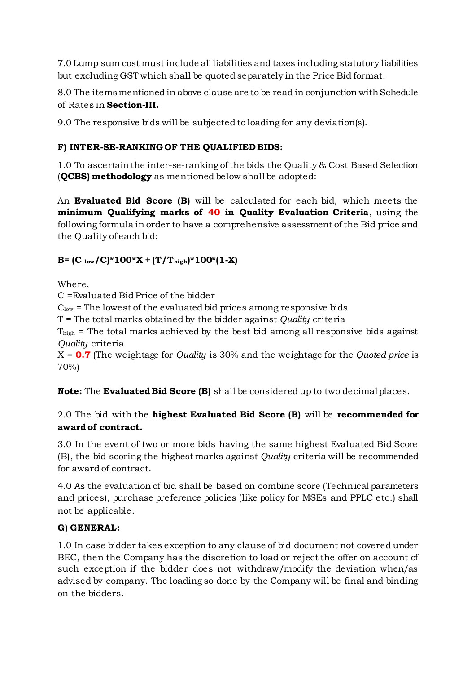7.0 Lump sum cost must include all liabilities and taxes including statutory liabilities but excluding GST which shall be quoted separately in the Price Bid format.

8.0 The items mentioned in above clause are to be read in conjunction with Schedule of Rates in **Section-III.**

9.0 The responsive bids will be subjected to loading for any deviation(s).

# **F) INTER-SE-RANKING OF THE QUALIFIED BIDS:**

1.0 To ascertain the inter-se-ranking of the bids the Quality & Cost Based Selection (**QCBS) methodology** as mentioned below shall be adopted:

An **Evaluated Bid Score (B)** will be calculated for each bid, which meets the **minimum Qualifying marks of 40 in Quality Evaluation Criteria**, using the following formula in order to have a comprehensive assessment of the Bid price and the Quality of each bid:

# $B = (C_{low}/C)^*100^*X + (T/T_{high})^*100^*(1-X)$

Where,

C =Evaluated Bid Price of the bidder

 $C_{\text{low}}$  = The lowest of the evaluated bid prices among responsive bids

T = The total marks obtained by the bidder against *Quality* criteria

 $T<sub>high</sub>$  = The total marks achieved by the best bid among all responsive bids against *Quality* criteria

X = **0.7** (The weightage for *Quality* is 30% and the weightage for the *Quoted price* is 70%)

**Note:** The **Evaluated Bid Score (B)** shall be considered up to two decimal places.

# 2.0 The bid with the **highest Evaluated Bid Score (B)** will be **recommended for award of contract.**

3.0 In the event of two or more bids having the same highest Evaluated Bid Score (B), the bid scoring the highest marks against *Quality* criteria will be recommended for award of contract.

4.0 As the evaluation of bid shall be based on combine score (Technical parameters and prices), purchase preference policies (like policy for MSEs and PPLC etc.) shall not be applicable.

# **G) GENERAL:**

1.0 In case bidder takes exception to any clause of bid document not covered under BEC, then the Company has the discretion to load or reject the offer on account of such exception if the bidder does not withdraw/modify the deviation when/as advised by company. The loading so done by the Company will be final and binding on the bidders.